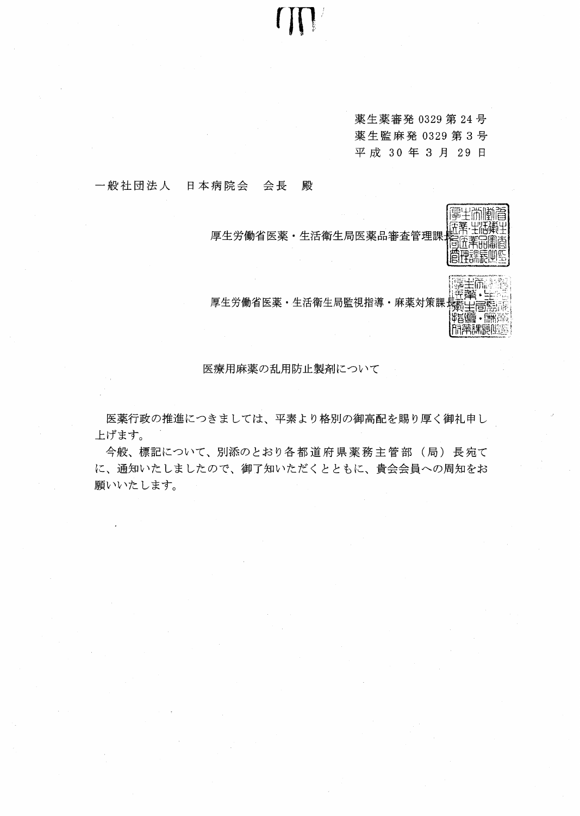薬生薬審発 0329 第 24 号 薬生監麻発 0329 第3号 平成 30年3月 29日

#### 一般社団法人 日本病院会 会長 殿

厚生労働省医薬・生活衛生局医薬品審査管理課



厚生労働省医薬·生活衛生局監視指導·麻薬対策課

医療用麻薬の乱用防止製剤について

 $(\prod)$ 

医薬行政の推進につきましては、平素より格別の御高配を賜り厚く御礼申し 上げます。

今般、標記について、別添のとおり各都道府県薬務主管部(局)長宛て に、通知いたしましたので、御了知いただくとともに、貴会会員への周知をお 願いいたします。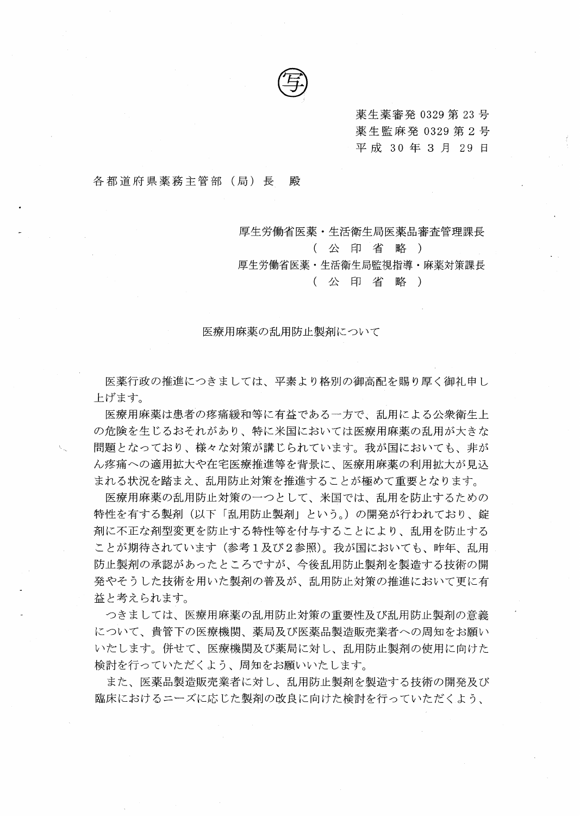薬生薬審発 0329 第 23 号 薬生監麻発 0329 第2号 平成 30年3月 29日

#### 各都道府県薬務主管部(局)長 殿

厚生労働省医薬・生活衛生局医薬品審査管理課長

(公印省略)

厚生労働省医薬・生活衛生局監視指導・麻薬対策課長

(公印省略)

医療用麻薬の乱用防止製剤について

医薬行政の推進につきましては、平素より格別の御高配を賜り厚く御礼申し 上げます。

医療用麻薬は患者の疼痛緩和等に有益である一方で、乱用による公衆衛生上 の危険を生じるおそれがあり、特に米国においては医療用麻薬の乱用が大きな 問題となっており、様々な対策が講じられています。我が国においても、非が ん疹痛への適用拡大や在宅医療推進等を背景に、医療用麻薬の利用拡大が見込 まれる状況を踏まえ、乱用防止対策を推進することが極めて重要となります。

医療用麻薬の乱用防止対策のーっとして、米国では、乱用を防止するための 特性を有する製剤(以下「乱用防止製剤」という。)の開発が行われており、錠 剤に不正な剤型変更を防止する特性等を付与することにより、乱用を防止する ことが期待されています(参考1及び2参照)。我が国においても、昨年、乱用 防止製剤の承認があったところですが、今後乱用防止製剤を製造する技術の開 発ゃそうした技術を用いた製剤の普及が、乱用防止対策の推進において更に有 益と考えられます。

つきましては、医療用麻薬の乱用防止対策の重要性及び乱用防止製剤の意義 について、貴管下の医療機関、薬局及び医薬品製造販売業者への周知をお願い いたします。併せて、医療機関及び薬局に対し、乱用防止製剤の使用に向けた 検討を行っていただくよう、周知をお願いいたします。

また、医薬品製造販売業者に対し、乱用防止製剤を製造する技術の開発及び 臨床におけるニーズに応じた製剤の改良に向けた検討を行っていただくよう、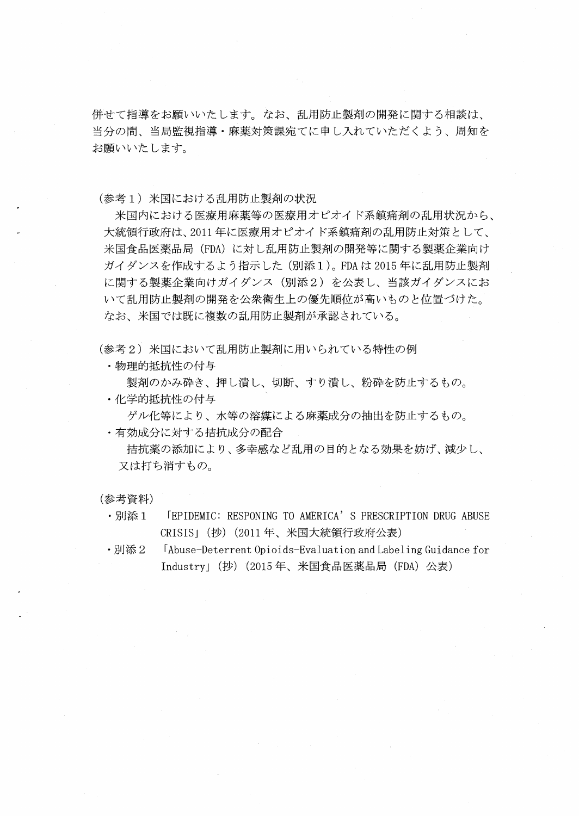併せて指導をお願いいたします。なお、乱用防止製剤の開発に関する相談は、 当分の問、当局監視指導・麻薬対策課宛てに申し入れていただくよう、周知を お願いいたします。

(参考 1)米国における乱用防止製剤の状況

米国内における医療用麻薬等の医療用オピオイド系鎮痛剤の乱用状況から、 大統領行政府は、 2011年に医療用オピオイド系鎮痛剤の乱用防止対策として、 米国食品医薬品局(FDA)に対し乱用防止製剤の開発等に関する製薬企業向け ガイダンスを作成するよう指示した(別添1)。 FDA は 2015年に乱用防止製剤 に関する製薬企業向けガイダンス(別添2)を公表し、当該ガイダンスにお いて乱用防止製剤の開発を公衆衛生上の優先順位が高いものと位置づけた。 なお、米国では既に複数の乱用防止製剤が承認されている。

(参考2)米国において乱用防止製剤に用いられている特性の例

.物理的抵抗性の付与

製剤のかみ砕き、押し潰し、切断、すり潰し、粉砕を防止するもの。 .化学的抵抗性の付与

ゲル化等により、水等の溶媒による麻薬成分の抽出を防止するもの。

.有効成分に対する措抗成分の配合

措抗薬の添加により、多幸感など乱用の目的となる効果を妨げ、減少し、 又は打ち消すもの。

(参考資料)

- •別添 1 FEPIDEMIC: RESPONING TO AMERICA'S PRESCRIPTION DRUG ABUSE CRISISJ (抄) (2011年、米国大統領行政府公表)
- •別添 2 Fabuse-Deterrent Opioids-Evaluation and Labeling Guidance for Industry」(抄) (2015年、米国食品医薬品局(FDA)公表)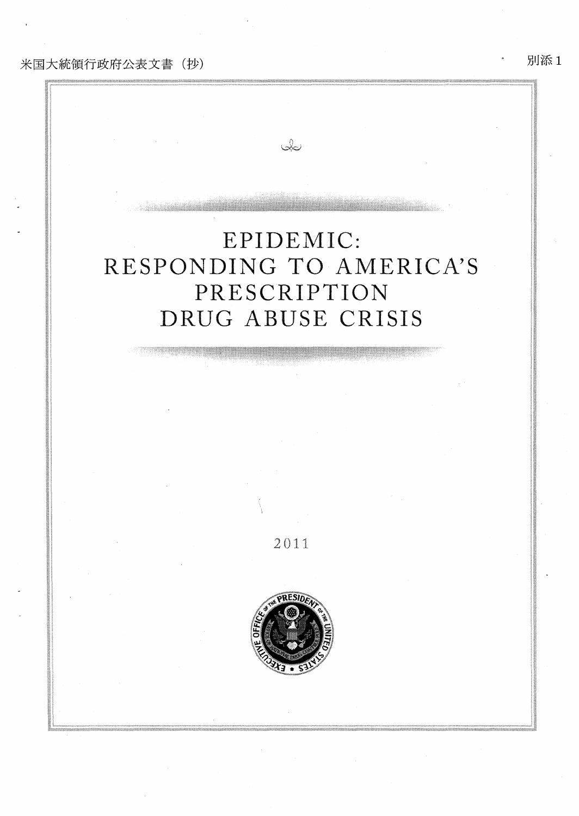## 米国大統領行政府公表文書(抄)

# EPIDEMIC: RESPONDING TO AMERICA'S PRESCRIPTION DRUG ABUSE CRISIS

 $Q$ 

2011



別添 1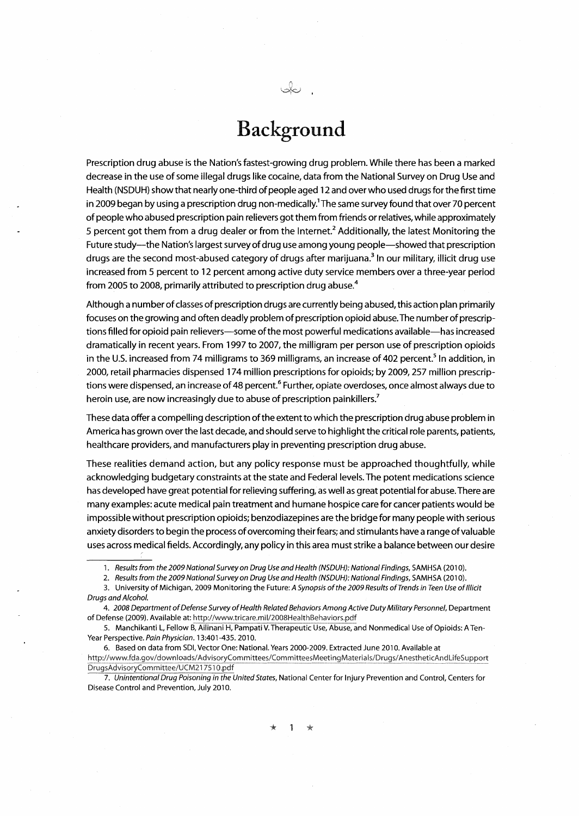# Background

Prescription drug abuse is the Nation's fastest-growing drug problem. While there has been a marked decrease in the use of some illegal drugs like cocaine, data from the National Survey on Drug Use and Health (NSDUH) show that nearly one-third of people aged 12 and over who used drugs for the first time in 2009 began by using a prescription drug non-medically.<sup>1</sup> The same survey found that over 70 percent of people who abused prescription pain relievers got them from friends or relatives, while approximately 5 percent got them from a drug dealer or from the Internet.<sup>2</sup> Additionally, the latest Monitoring the Future study--the Nation's largest survey of drug use among young people--showed that prescription drugs are the second most-abused category of drugs after marijuana.<sup>3</sup> In our military, illicit drug use increased from 5 percent to 12 percent among active duty service members over a three-year period from 2005 to 2008, primarily attributed to prescription drug abuse.<sup>4</sup>

Although a number of classes of prescription drugs are currently being abused, this action plan primarily focuses on the growing and often deadly problem of prescription opioid abuse. The number of prescriptions filled for opioid pain relievers—some of the most powerful medications available—has increased dramatically in recent years. From 1997 to 2007, the milligram per person use of prescription opioids in the U.S. increased from 74 milligrams to 369 milligrams, an increase of 402 percent.<sup>5</sup> In addition, in 2000, retail pharmacies dispensed 174 million prescriptions for opioids; by 2009, 257 million prescriptions were dispensed, an increase of 48 percent.<sup>6</sup> Further, opiate overdoses, once almost always due to heroin use, are now increasingly due to abuse of prescription painkillers.<sup>7</sup>

These data offer a compelling description of the extent to which the prescription drug abuse problem in America has grown over the last decade, and should serve to highlight the critical role parents, patients, healthcare providers, and manufacturers play in preventing prescription drug abuse.

These realities demand action, but any policy response must be approached thoughtfully, while acknowledging budgetary constraints at the state and Federal levels. The potent medications science has developed have great potential for relieving suffering, as well as great potential for abuse. There are many examples: acute medical pain treatment and humane hospice care for cancer patients would be impossible without prescription opioids; benzodiazepines are the bridge for many people with serious anxiety disorders to begin the process of overcoming their fears; and stimulants have a range of valuable uses across medical fields. Accordingly, any policy in this area must strike a balance between our desire

3. University of Michigan, 2009 Monitoring the Future: A Synopsis of the 2009 Results of Trends in Teen Use of Illicit Drugs and Alcohol.

6. Based on data from SDI, Vector One: National. Years 2000-2009. Extracted June 2010. Available at http://www.fda.gov/downloads/AdvisoryCommittees/CommitteesMeetingMaterials/Drugs/AnestheticAndLifeSupport DrugsAdvisoryCommittee/UCM217510.pdf

?を 1

<sup>1.</sup> Results from the 2009 National Survey on Drug Use and Health (NSDUH): National Findings, SAMHSA (2010).

<sup>2.</sup> Results from the 2009 National Survey on Drug Use and Health (NSDUH): National Findings, SAMHSA (2010).

<sup>4. 2008</sup> Department of Defense Survey of Health Related Behaviors Among Active Duty Military Personnel, Department of Defense (2009). Available at: http://www.tricare.mil/2008HealthBehaviors.pdf

<sup>5.</sup> Manchikanti L, Fellow B, Ailinani H, Pampati V. Therapeutic Use, Abuse, and Nonmedical Use of Opioids: A Ten-Year Perspective. Pain Physician. 13:401-435. 2010.

<sup>7.</sup> Unintentional Drug Poisoning in the United States, National Center for Injury Prevention and Control, Centers for Disease Control and Prevention, July 2010.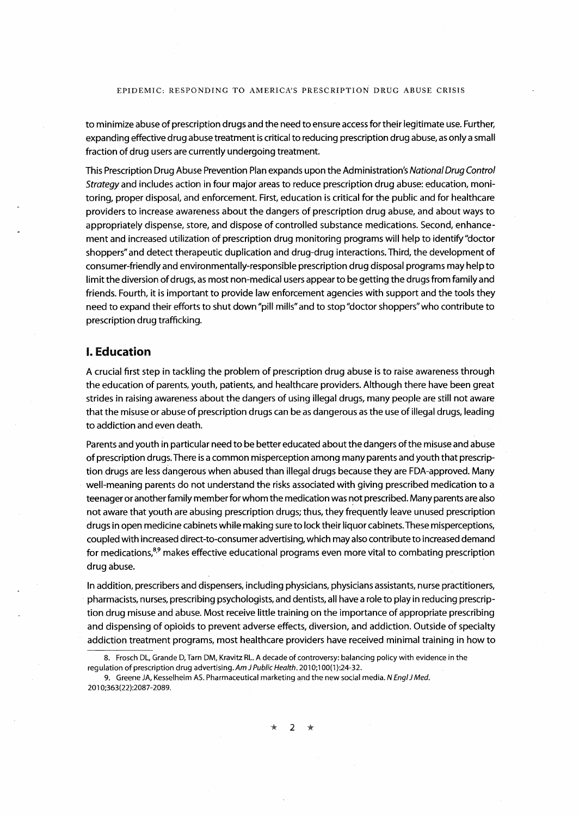EPIDEMIC: RESPONDING TO AMERICA'S PRESCRIPTION DRUG ABUSE CRISIS

to minimize abuse of prescription drugs and the need to ensure access for their legitimate use. Further, expanding effective drug abuse treatment is critical to reducing prescription drug abuse, as only a small fraction of drug users are currently undergoing treatment.

This Prescription Drug Abuse Prevention Plan expands upon the Administration'S National Drug Control Strategy and includes action in four major areas to reduce prescription drug abuse: education, monitoring, proper disposal, and enforcement. First, education is critical for the public and for healthcare providers to increase awareness about the dangers of prescription drug abuse, and about ways to appropriately dispense, store, and dispose of controlled substance medications. Second, enhancement and increased utilization of prescription drug monitoring programs will help to identify "doctor shoppers" and detect therapeutic duplication and drug-drug interactions. Third, the development of consumer-friendly and environmentally-responsible prescription drug disposal programs may help to limit the diversion of drugs, as most non-medical users appear to be getting the drugs from family and friends. Fourth, it is important to provide law enforcement agencies with support and the tools they need to expand their efforts to shut down "pill mills" and to stop "doctor shoppers" who contribute to prescription drug trafficking

#### I. Education

A crucial first step in tackling the problem of prescription drug abuse is to raise awareness through the education of parents, youth, patients, and healthcare providers. Although there have been great strides in raising awareness about the dangers of using illegal drugs, many people are still not aware that the misuse or abuse of prescription drugs can be as dangerous as the use of illegal drugs, leading to addiction and even death.

Parents and youth in particular need to be better educated about the dangers of the misuse and abuse of prescription drugs. There is a common misperception among many parents and youth that prescription drugs are less dangerous when abused than illegal drugs because they are FDA-approved. Many well-meaning parents do not understand the risks associated with giving prescribed medication to a teenager or another family member for whom the medication was not prescribed. Many parents are also not aware that youth are abusing prescription drugs; thus, they frequently leave unused prescription drugs in open medicine cabinets while making sure to lock their liquor cabinets. These misperceptions, coupled with increased direct-to-consumer advertising, which may also contribute to increased demand for medications,<sup>8,9</sup> makes effective educational programs even more vital to combating prescription drug abuse.

In addition, prescribers and dispensers, including physicians, physicians assistants, nurse practitioners, pharmacists, nurses, prescribing psychologists, and dentists, all have a role to play in reducing prescription drug misuse and abuse. Most receive little training on the importance of appropriate prescribing and dispensing of opioids to prevent adverse effects, diversion, and addiction. Outside of specialty addiction treatment programs, most healthcare providers have received minimal training in how to

ヲ役 2

<sup>8.</sup> Frosch DL, Grande D, Tarn OM, Kravitz RL. A decade of controversy: balancing policy with evidence in the regulation of prescription drug advertising. Am J Public Health. 2010;100(1):24-32.

<sup>9.</sup> Greene JA, Kesselheim AS. Pharmaceutical marketing and the new social media. N Engl J Med. 2010;363(22):2087-2089.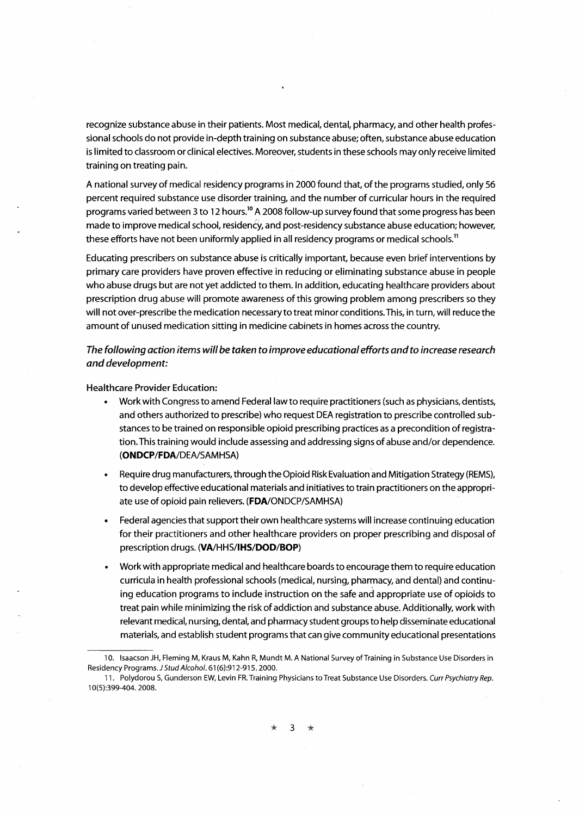recognize substance abuse in their patients. Most medical, dental, pharmacy, and other health professional schools do not provide in-depth training on substance abuse; often, substance abuse education is limited to classroom or clinical electives. Moreover, students in these schools may only receive limited training on treating pain.

A national survey of medical residency programs in 2000 found that, of the programs studied, only 56 percent required substance use disorder training, and the number of curricular hours in the required programs varied between 3 to 12 hours.<sup>10</sup> A 2008 follow-up survey found that some progress has been made to improve medical school, residency, and post-residency substance abuse education; however, these efforts have not been uniformly applied in all residency programs or medical schools.<sup>11</sup>

Educating prescribers on substance abuse is critically important, because even brief interventions by primary care providers have proven effective in reducing or eliminating substance abuse in people who abuse drugs but are not yet addicted to them. In addition, educating healthcare providers about prescription drug abuse will promote awareness of this growing problem among prescribers so they will not over-prescribe the medication necessary to treat minor conditions. This, in turn, will reduce the amount of unused medication sitting in medicine cabinets in homes across the country.

The following action items will be taken to improve educational efforts and to increase research and development:

Healthcare Provider Education:

- Work with Congress to amend Federal law to require practitioners (such as physicians, dentists, and others authorized to prescribe) who request DEA registration to prescribe controlled substances to be trained on responsible opioid prescribing practices as a precondition of registration. This training would include assessing and addressing signs of abuse and/or dependence. (ONDCP/FDA/DEA/SAMHSA)
- Require drug manufacturers, through the Opioid Risk Evaluation and Mitigation Strategy (REMS), to develop effective educational materials and initiatives to train practitioners on the appropriate use of opioid pain relievers. (FDA/ONDCP/SAMHSA)
- Federal agencies that support their own healthcare systems will increase continuing education for their practitioners and other healthcare providers on proper prescribing and disposal of prescription drugs. (VA/HHS/IHS/000/BOP)
- Work with appropriate medical and healthcare boards to encourage them to require education curricula in health professional schools (medical, nursing, pharmacy, and dental) and continuing education programs to include instruction on the safe and appropriate use of opioids to treat pain while minimizing the risk of addiction and substance abuse. Additionally, work with relevant medical, nursing, dental, and pharmacy student groups to help disseminate educational materials, and establish student programs that can give community educational presentations

 $\mathbf{3}$ 

<sup>10.</sup> Isaacson JH, Fleming M, Kraus M, Kahn R, Mundt M. A National Survey of Training in Substance Use Disorders in Residency Programs.J Stud Alcohol. 61(6):912-915.2000.

<sup>11.</sup> Polydorou S, Gunderson EW, Levin FR. Training Physicians to Treat Substance Use Disorders. Curr Psychiatry Rep. 10(5):399-404. 2008.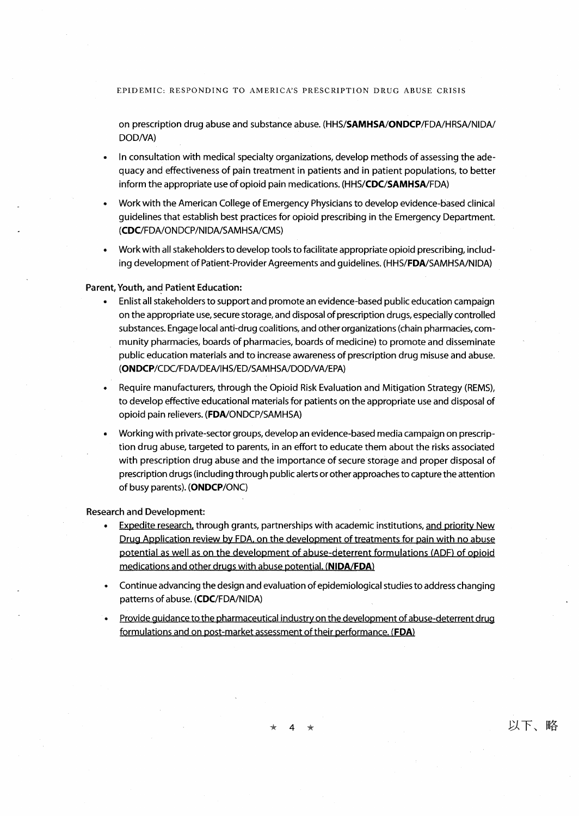EPIDEMIC: RESPONDING TO AMERICA'S PRESCRIPTION DRUG ABUSE CRISIS

on prescription drug abuse and substance abuse. (HHS/SAMHSA/ONDCP/FDA/HRSA/NIDA/ DOD/VA)

- In consultation with medical specialty organizations, develop methods of assessing the adequacy and effetivenessof pain treatment in patients and in patient populations, to better inform the appropriate use of opioid pain medications. (HHS/CDC/SAMHSA/FDA)
- Work with the American College of Emergency Physicians to develop evidence-based clinical guidelines that establish best practices for opioid prescribing in the Emergency Department. (CDC/FDA/ONDCP/NIDA/SAMHSA/CMS)
- Work with all stakeholders to develop tools to facilitate appropriate opioid prescribing, including development of Patient-Provider Agreements and guidelines. (HHS/FDA/SAMHSA/NIDA)

#### Parent, Youth, and Patient Education:

- Enlist all stakeholders to support and promote an evidence-based public education campaign  $\bullet$ on the appropriate use, secure storage, and disposal of prescription drugs, especially controlled substances. Engage local anti-drug coalitions, and other organizations (chain pharmacies, community pharmacies, boards of pharmacies, boards of medicine) to promote and disseminate public education materials and to increase awareness of prescription drug misuse and abuse. (ONDCP/仁DC/FDA/DENIHS/ED/SAMHSA/DOD八/A/EPA)
- Require manufacturers, through the Opioid Risk Evaluation and Mitigation Strategy (REMS), to develop effective educational materials for patients on the appropriate use and disposal of opioid pain relievers. (FDA/ONDCP/SAMHSA)
- Working with private-sector groups, develop an evidence-based media campaign on prescription drug abuse, targeted to parents, in an effort to educate them about the risks associated with prescription drug abuse and the importance of secure storage and proper disposal of prescription drugs (including through public alerts or other approaches to capture the attention of busy parents). (ONDCP/ONC)

#### Research and Development:

- Expedite research, through grants, partnerships with academic institutions, and priority New Drug Application review by FDA, on the development of treatments for pain with no abuse potential as well as on the development of abuse-deterrent formulations (ADF) of opioid medications and other drugs with abuse potential. (NIDA/FDA)
- Continue advancing the design and evaluation of epidemiological studies to address changing patterns of abuse. (CDC/FDA/NIDA)
- Provide quidance to the pharmaceutical industry on the development of abuse-deterrent drug formulations and on post-market assessment of their performance. (FDA)

#### 以下、略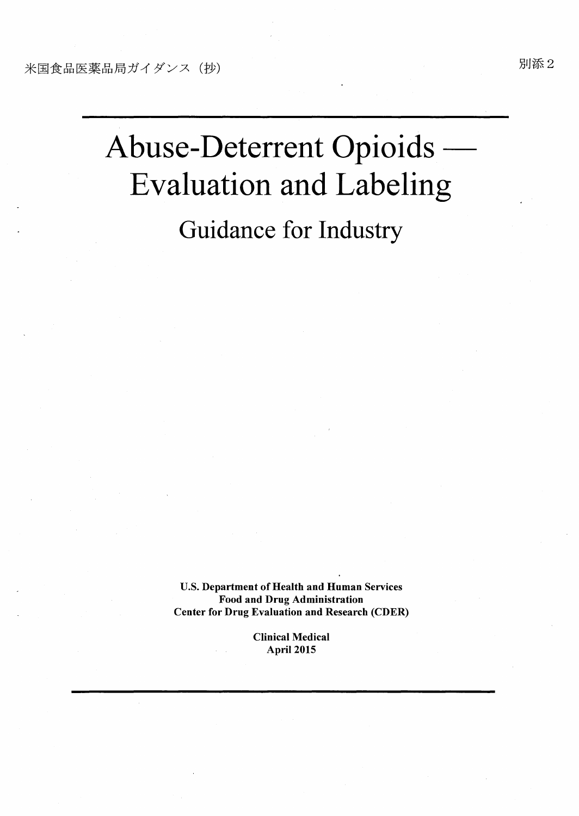# Abuse-Deterrent Opioids — Evaluation and Labeling

Guidance for Industry

U.S. Department of Health and Human Services Food and Drug Administration Center for Drug Evaluation and Research (CDER)

> Clinical Medical April 2015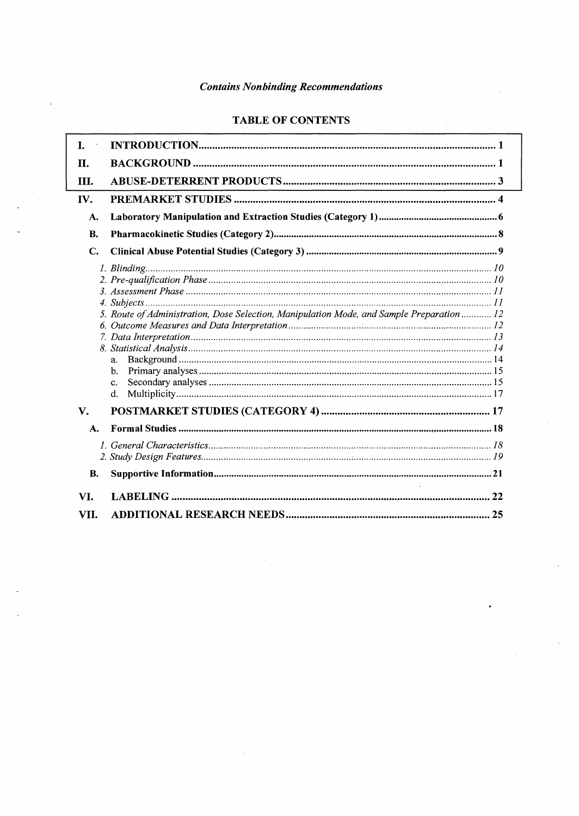### **TABLE OF CONTENTS**

| T.        |                                                                                                                                                    |  |
|-----------|----------------------------------------------------------------------------------------------------------------------------------------------------|--|
| П.        |                                                                                                                                                    |  |
| III.      |                                                                                                                                                    |  |
| IV.       |                                                                                                                                                    |  |
| A.        |                                                                                                                                                    |  |
| <b>B.</b> |                                                                                                                                                    |  |
| C.        |                                                                                                                                                    |  |
|           | 5. Route of Administration, Dose Selection, Manipulation Mode, and Sample Preparation  12<br>a.<br>$\mathbf{b}$ .<br>$\mathbf{c}$ .<br>$d_{\cdot}$ |  |
| V.        |                                                                                                                                                    |  |
| A.        |                                                                                                                                                    |  |
|           |                                                                                                                                                    |  |
| <b>B.</b> |                                                                                                                                                    |  |
| VI.       |                                                                                                                                                    |  |
| VII.      |                                                                                                                                                    |  |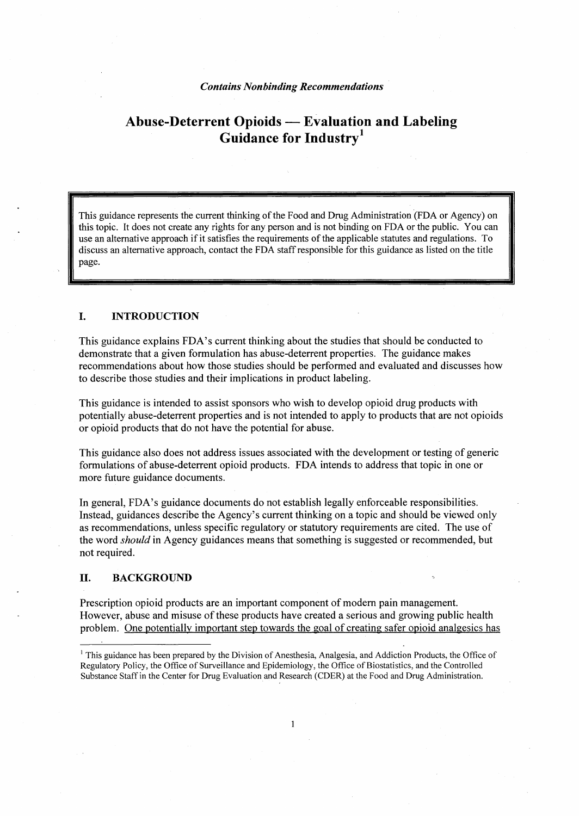## Abuse-Deterrent Opioids - Evaluation and Labeling Guidance for Industry<sup>1</sup>

This guidance represents the current thinking of the Food and Drug Administration (FDA or Agency) on this topic. It does not create any rights for any person and is not binding on FDA or the public. You can use an alternative approach if it satisfies the requirements of the applicable statutes and regulations. To discuss an alternative approach, contact the FDA staff responsible for this guidance as listed on the title page.

#### I. INTRODUCTION

This guidance explains FDA's current thinking about the studies that should be conducted to demonstrate that a given formulation has abuse-deterrent properties. The guidance makes recommendations about how those studies should be performed and evaluated and discusses how to describe those studies and their implications in product labeling.

This guidance is intended to assist sponsors who wish to develop opioid drug products with potentially abuse-deterrent properties and is not intended to apply to products that are not opioids or opioid products that do not have the potential for abuse.

This guidance also does not address issues associated with the development or testing of generic formulations of abuse-deterrent opioid products. FDA intends to address that topic in one or more future guidance documents.

In general, FDA's guidance documents do not establish legally enforceable responsibilities. Instead, guidances describe the Agency's current thinking on a topic and should be viewed only as recommendations, unless specific regulatory or statutory requirements are cited. The use of the word should in Agency guidances means that something is suggested or recommended, but not required.

#### II. BACKGROUND

Prescription opioid products are an important component of modem pain management. However, abuse and misuse of these products have created a serious and growing public health problem. One potentially important step towards the goal of creating safer opioid analgesics has

 $1$  This guidance has been prepared by the Division of Anesthesia, Analgesia, and Addiction Products, the Office of Regulatory Policy, the Office of Surveillance and Epidemiology, the Office of Biostatistics, and the Controlled Substance Staff in the Center for Drug Evaluation and Research (CDER) at the Food and Drug Administration.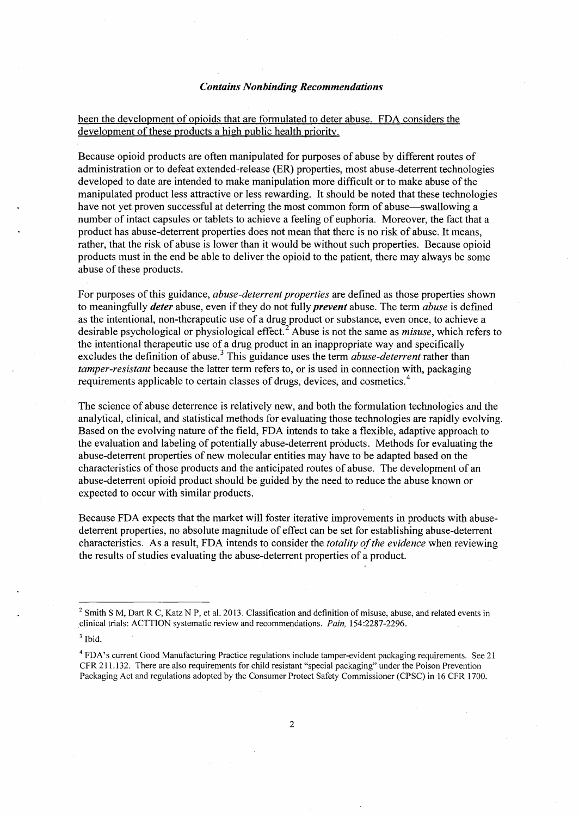#### been the develooment of ooioids that are formulated to deter abuse. FDA considers the development of these products a high public health orioritv.

Because opioid products are often manipulated for purposes of abuse by different routes of administration or to defeat extended-release (ER) properties, most abuse-deterrent technologies developed to date are intended to make manipulation more difficult or to make abuse of the manipulated product less attractive or less rewarding. It should be noted that these technologies have not yet proven successful at deterring the most common form of abuse—swallowing a number of intact capsules or tablets to achieve a feeling of euphoria. Moreover, the fact that a product has abuse-deterrent properties does not mean that there is no risk of abuse. It means, rather, that the risk of abuse is lower than it would be without such properties. Because opioid products must in the end be able to deliver the opioid to the patient, there may always be some abuse of these products.

For purposes of this guidance, *abuse-deterrent properties* are defined as those properties shown to meaning fully *deter* abuse, even if they do not fully *prevent* abuse. The term *abuse* is defined as the intentional, non-therapeutic use of a drug product or substance, even once, to achieve a desirable psychological or physiological effect.<sup>2</sup> Abuse is not the same as *misuse*, which refers to the intentional therapeutic use of a drug product in an inappropriate way and specifically excludes the definition of abuse.<sup>3</sup> This guidance uses the term *abuse-deterrent* rather than tamper-resistant because the latter term refers to, or is used in connection with, packaging requirements applicable to certain classes of drugs, devices, and cosmetics.

The science of abuse deterrence is relatively new, and both the formulation technologies and the analytical, clinical, and statistical methods for evaluating those technologies are rapidly evolving. Based on the evolving nature of the field, FDA intends to take a flexible, adaptive approach to the evaluation and labeling of potentially abuse-deterrent products. Methods for evaluating the abuse-deterrent properties of new molecular entities may have to be adapted based on the characteristics of those products and the anticipated routes of abuse. The development of an abuse-deterrent opioid product should be guided by the need to reduce the abuse known or expected to occur with similar products.

Because FDA expects that the market will foster iterative improvements in products with abusedeterrent properties, no absolute magnitude of effect can be set for establishing abuse-deterrent characteristics. As a result, FDA intends to consider the *totality of the evidence* when reviewing the results of studies evaluating the abuse-deterrent properties of a product.

 $2$  Smith S M, Dart R C, Katz N P, et al. 2013. Classification and definition of misuse, abuse, and related events in clinical trials: ACTTION systematic review and recommendations. Pain, 154:2287-2296.

 $3$  Ibid.

<sup>4</sup>FDA's current Good Manufacturing Practice regulations include tamper-evident packaging requirements. See 21 CFR 211.132. There are also requirements for child resistant "special packaging"under the Poison Prevention Packaging Act and regulations adopted by the Consumer Protect Safety Commissioner (CPSC) in 16 CFR 1700.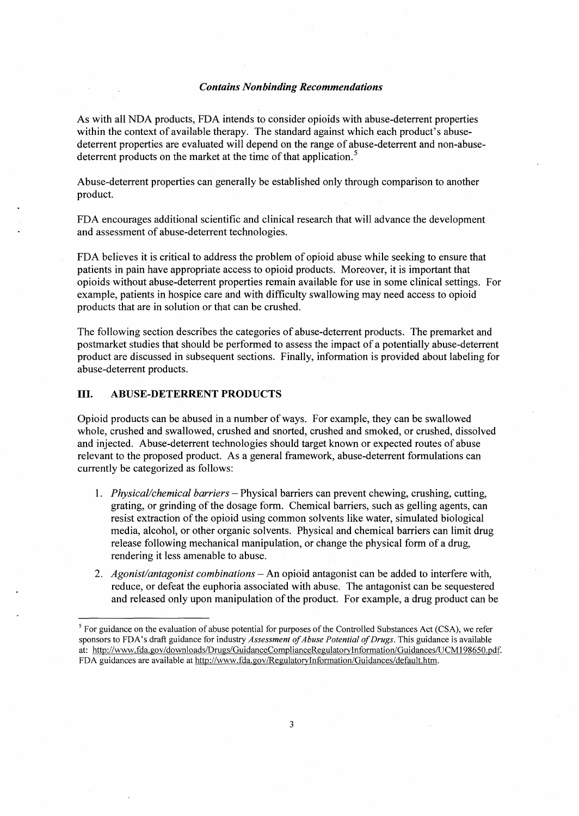As with all NDA products, FDA intends to consider opioids with abuse-deterrent properties within the context of available therapy. The standard against which each product's abusedeterrent properties are evaluated will depend on the range of abuse-deterrent and non-abusedeterrent products on the market at the time of that application.<sup>5</sup>

Abuse-deterrent properties can generally be established only through comparison to another product.

FDA encourages additional scientific and clinical research that will advance the development and assessment of abuse-deterrent technologies.

FDA believes it is critical to address the problem of opioid abuse while seeking to ensure that patients in pain have appropriate access to opioid products. Moreover, it is important that opioidswithout abuse-deterrent properties remain available for use in some clinical settings. For example, patients in hospice care and with difficulty swallowing may need access to opioid products that are in solution or that can be crushed.

The following section describes the categories of abuse-deterrent products. The premarket and postmarket studies that should be performed to assess the impact of a potentially abuse-deterrent product are discussed in subsequent sections. Finally, information is provided about labeling for abuse-deterrent products.

#### III. ABUSE-DETERRENT PRODUCTS

Opioid products can be abused in a number of ways. For example, they can be swallowed whole, crushed and swallowed, crushed and snorted, crushed and smoked, or crushed, dissolved and injected. Abuse-deterrent technologies should target known or expected routes of abuse relevant to the proposed product. As a general framework, abuse-deterrent formulations can currently be categorized as follows:

- 1. Physical/chemical barriers Physical barriers can prevent chewing, crushing, cutting, grating, or grinding of the dosage form. Chemical barriers, such as gelling agents, can resist extraction of the opioid using common solvents like water, simulated biological media, alcohol, or other organic solvents. Physical and chemical barriers can limit drug release following mechanical manipulation, or change the physical form of a drug, rendering it less amenable to abuse.
- 2. Agonist/antagonist combinations An opioid antagonist can be added to interfere with, reduce, or defeat the euphoria associated with abuse. The antagonist can be sequestered and released only upon manipulation of the product. For example, a drug product can be

 $<sup>5</sup>$  For guidance on the evaluation of abuse potential for purposes of the Controlled Substances Act (CSA), we refer</sup> sponsors to FDA's draft guidance for industry Assessment of Abuse Potential of Drugs. This guidance is available at: http://www.fda.gov/downloads/Drugs/GuidanceComplianceRegulatoryInformation/Guidances/UCM198650.pdf. FDA guidances are available at http://www.fda.gov/RegulatoryInformation/Guidances/default.htm.